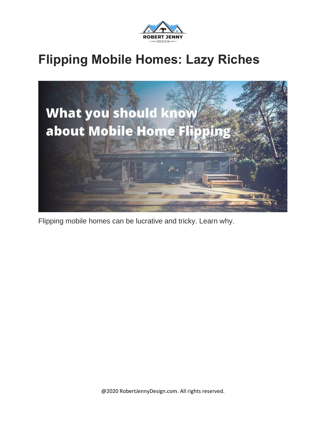

#### **Flipping Mobile Homes: Lazy Riches**



Flipping mobile homes can be lucrative and tricky. Learn why.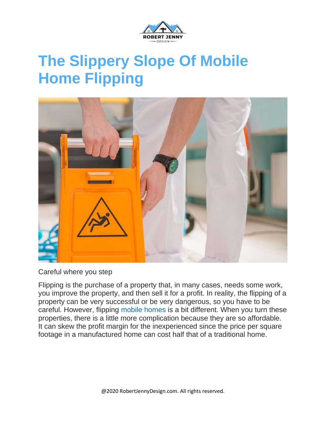

## **The Slippery Slope Of Mobile Home Flipping**



Careful where you step

Flipping is the purchase of a property that, in many cases, needs some work, you improve the property, and then sell it for a profit. In reality, the flipping of a property can be very successful or be very dangerous, so you have to be careful. However, flipping mobile [homes](https://en.wikipedia.org/wiki/Mobile_home) is a bit different. When you turn these properties, there is a little more complication because they are so affordable. It can skew the profit margin for the inexperienced since the price per square footage in a manufactured home can cost half that of a traditional home.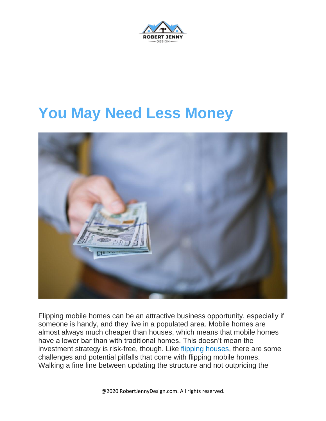

#### **You May Need Less Money**



Flipping mobile homes can be an attractive business opportunity, especially if someone is handy, and they live in a populated area. Mobile homes are almost always much cheaper than houses, which means that mobile homes have a lower bar than with traditional homes. This doesn't mean the investment strategy is risk-free, though. Like flipping [houses,](https://robertjennydesign.com/flip-house-tax/) there are some challenges and potential pitfalls that come with flipping mobile homes. Walking a fine line between updating the structure and not outpricing the

@2020 RobertJennyDesign.com. All rights reserved.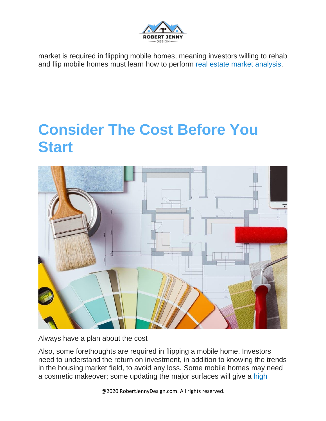

market is required in flipping mobile homes, meaning investors willing to rehab and flip mobile homes must learn how to perform real estate market [analysis.](https://robertjennydesign.com/what-is-a-contract-assignment/)

### **Consider The Cost Before You Start**



Always have a plan about the cost

Also, some forethoughts are required in flipping a mobile home. Investors need to understand the return on investment, in addition to knowing the trends in the housing market field, to avoid any loss. Some mobile homes may need a cosmetic makeover; some updating the major surfaces will give a [high](https://robertjennydesign.com/flipping-vs-renting/)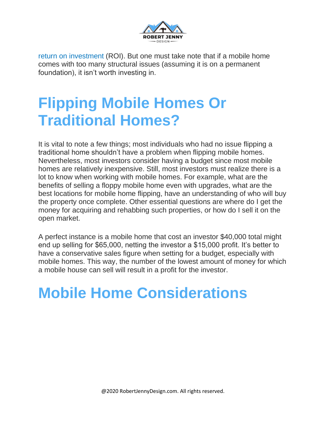

return on [investment](https://robertjennydesign.com/flipping-vs-renting/) (ROI). But one must take note that if a mobile home comes with too many structural issues (assuming it is on a permanent foundation), it isn't worth investing in.

# **Flipping Mobile Homes Or Traditional Homes?**

It is vital to note a few things; most individuals who had no issue flipping a traditional home shouldn't have a problem when flipping mobile homes. Nevertheless, most investors consider having a budget since most mobile homes are relatively inexpensive. Still, most investors must realize there is a lot to know when working with mobile homes. For example, what are the benefits of selling a floppy mobile home even with upgrades, what are the best locations for mobile home flipping, have an understanding of who will buy the property once complete. Other essential questions are where do I get the money for acquiring and rehabbing such properties, or how do I sell it on the open market.

A perfect instance is a mobile home that cost an investor \$40,000 total might end up selling for \$65,000, netting the investor a \$15,000 profit. It's better to have a conservative sales figure when setting for a budget, especially with mobile homes. This way, the number of the lowest amount of money for which a mobile house can sell will result in a profit for the investor.

## **Mobile Home Considerations**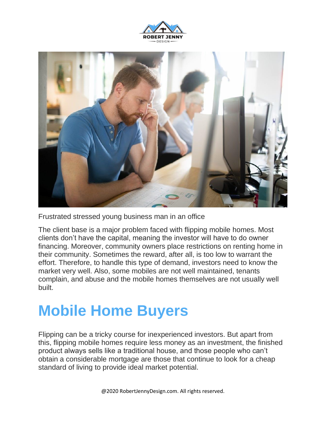



Frustrated stressed young business man in an office

The client base is a major problem faced with flipping mobile homes. Most clients don't have the capital, meaning the investor will have to do owner financing. Moreover, community owners place restrictions on renting home in their community. Sometimes the reward, after all, is too low to warrant the effort. Therefore, to handle this type of demand, investors need to know the market very well. Also, some mobiles are not well maintained, tenants complain, and abuse and the mobile homes themselves are not usually well built.

## **Mobile Home Buyers**

Flipping can be a tricky course for inexperienced investors. But apart from this, flipping mobile homes require less money as an investment, the finished product always sells like a traditional house, and those people who can't obtain a considerable mortgage are those that continue to look for a cheap standard of living to provide ideal market potential.